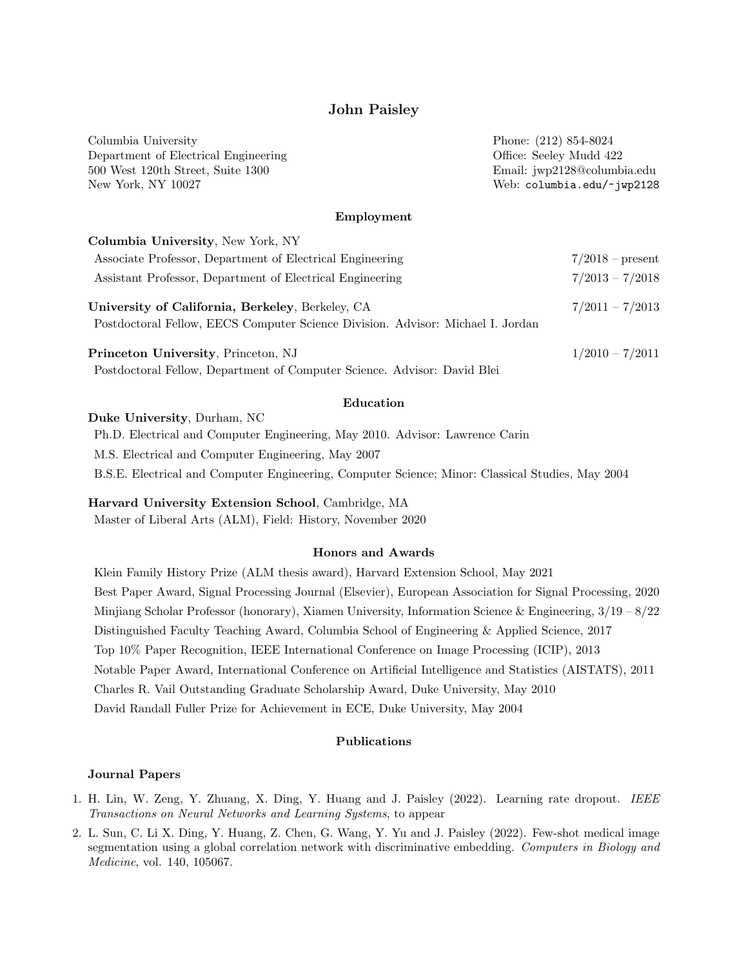## John Paisley

| Phone: $(212)$ 854-8024<br>Columbia University<br>Department of Electrical Engineering<br>Office: Seeley Mudd 422 |                                                           |
|-------------------------------------------------------------------------------------------------------------------|-----------------------------------------------------------|
| 500 West 120th Street, Suite 1300<br>New York, NY 10027                                                           | Email: jwp2128@columbia.edu<br>Web: columbia.edu/~jwp2128 |
| Employment                                                                                                        |                                                           |
| <b>Columbia University, New York, NY</b>                                                                          |                                                           |
| Associate Professor, Department of Electrical Engineering                                                         | $7/2018$ – present                                        |
| Assistant Professor, Department of Electrical Engineering                                                         | $7/2013 - 7/2018$                                         |
| University of California, Berkeley, Berkeley, CA                                                                  | $7/2011 - 7/2013$                                         |
| Postdoctoral Fellow, EECS Computer Science Division. Advisor: Michael I. Jordan                                   |                                                           |
| <b>Princeton University, Princeton, NJ</b>                                                                        | $1/2010 - 7/2011$                                         |

Postdoctoral Fellow, Department of Computer Science. Advisor: David Blei

## Education

# Duke University, Durham, NC Ph.D. Electrical and Computer Engineering, May 2010. Advisor: Lawrence Carin M.S. Electrical and Computer Engineering, May 2007

B.S.E. Electrical and Computer Engineering, Computer Science; Minor: Classical Studies, May 2004

Harvard University Extension School, Cambridge, MA

Master of Liberal Arts (ALM), Field: History, November 2020

## Honors and Awards

Klein Family History Prize (ALM thesis award), Harvard Extension School, May 2021 Best Paper Award, Signal Processing Journal (Elsevier), European Association for Signal Processing, 2020 Minjiang Scholar Professor (honorary), Xiamen University, Information Science & Engineering, 3/19 – 8/22 Distinguished Faculty Teaching Award, Columbia School of Engineering & Applied Science, 2017 Top 10% Paper Recognition, IEEE International Conference on Image Processing (ICIP), 2013 Notable Paper Award, International Conference on Artificial Intelligence and Statistics (AISTATS), 2011 Charles R. Vail Outstanding Graduate Scholarship Award, Duke University, May 2010 David Randall Fuller Prize for Achievement in ECE, Duke University, May 2004

## Publications

#### Journal Papers

- 1. H. Lin, W. Zeng, Y. Zhuang, X. Ding, Y. Huang and J. Paisley (2022). Learning rate dropout. IEEE Transactions on Neural Networks and Learning Systems, to appear
- 2. L. Sun, C. Li X. Ding, Y. Huang, Z. Chen, G. Wang, Y. Yu and J. Paisley (2022). Few-shot medical image segmentation using a global correlation network with discriminative embedding. Computers in Biology and Medicine, vol. 140, 105067.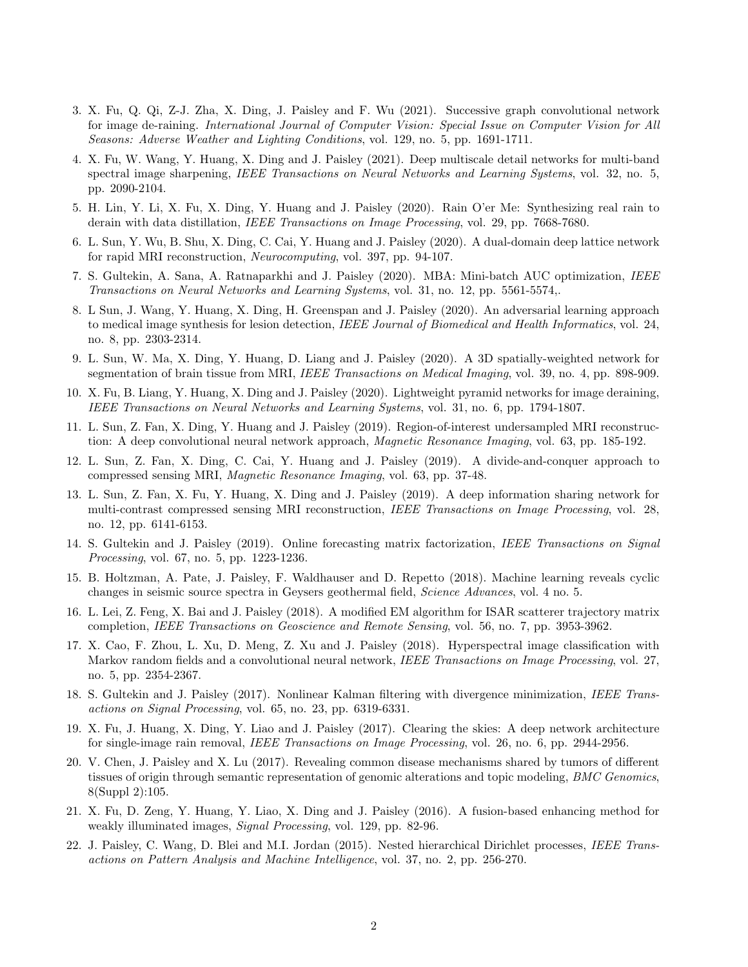- 3. X. Fu, Q. Qi, Z-J. Zha, X. Ding, J. Paisley and F. Wu (2021). Successive graph convolutional network for image de-raining. International Journal of Computer Vision: Special Issue on Computer Vision for All Seasons: Adverse Weather and Lighting Conditions, vol. 129, no. 5, pp. 1691-1711.
- 4. X. Fu, W. Wang, Y. Huang, X. Ding and J. Paisley (2021). Deep multiscale detail networks for multi-band spectral image sharpening, IEEE Transactions on Neural Networks and Learning Systems, vol. 32, no. 5, pp. 2090-2104.
- 5. H. Lin, Y. Li, X. Fu, X. Ding, Y. Huang and J. Paisley (2020). Rain O'er Me: Synthesizing real rain to derain with data distillation, IEEE Transactions on Image Processing, vol. 29, pp. 7668-7680.
- 6. L. Sun, Y. Wu, B. Shu, X. Ding, C. Cai, Y. Huang and J. Paisley (2020). A dual-domain deep lattice network for rapid MRI reconstruction, Neurocomputing, vol. 397, pp. 94-107.
- 7. S. Gultekin, A. Sana, A. Ratnaparkhi and J. Paisley (2020). MBA: Mini-batch AUC optimization, IEEE Transactions on Neural Networks and Learning Systems, vol. 31, no. 12, pp. 5561-5574,.
- 8. L Sun, J. Wang, Y. Huang, X. Ding, H. Greenspan and J. Paisley (2020). An adversarial learning approach to medical image synthesis for lesion detection, IEEE Journal of Biomedical and Health Informatics, vol. 24, no. 8, pp. 2303-2314.
- 9. L. Sun, W. Ma, X. Ding, Y. Huang, D. Liang and J. Paisley (2020). A 3D spatially-weighted network for segmentation of brain tissue from MRI, IEEE Transactions on Medical Imaging, vol. 39, no. 4, pp. 898-909.
- 10. X. Fu, B. Liang, Y. Huang, X. Ding and J. Paisley (2020). Lightweight pyramid networks for image deraining, IEEE Transactions on Neural Networks and Learning Systems, vol. 31, no. 6, pp. 1794-1807.
- 11. L. Sun, Z. Fan, X. Ding, Y. Huang and J. Paisley (2019). Region-of-interest undersampled MRI reconstruction: A deep convolutional neural network approach, *Magnetic Resonance Imaging*, vol. 63, pp. 185-192.
- 12. L. Sun, Z. Fan, X. Ding, C. Cai, Y. Huang and J. Paisley (2019). A divide-and-conquer approach to compressed sensing MRI, Magnetic Resonance Imaging, vol. 63, pp. 37-48.
- 13. L. Sun, Z. Fan, X. Fu, Y. Huang, X. Ding and J. Paisley (2019). A deep information sharing network for multi-contrast compressed sensing MRI reconstruction, IEEE Transactions on Image Processing, vol. 28, no. 12, pp. 6141-6153.
- 14. S. Gultekin and J. Paisley (2019). Online forecasting matrix factorization, IEEE Transactions on Signal Processing, vol. 67, no. 5, pp. 1223-1236.
- 15. B. Holtzman, A. Pate, J. Paisley, F. Waldhauser and D. Repetto (2018). Machine learning reveals cyclic changes in seismic source spectra in Geysers geothermal field, Science Advances, vol. 4 no. 5.
- 16. L. Lei, Z. Feng, X. Bai and J. Paisley (2018). A modified EM algorithm for ISAR scatterer trajectory matrix completion, IEEE Transactions on Geoscience and Remote Sensing, vol. 56, no. 7, pp. 3953-3962.
- 17. X. Cao, F. Zhou, L. Xu, D. Meng, Z. Xu and J. Paisley (2018). Hyperspectral image classification with Markov random fields and a convolutional neural network, IEEE Transactions on Image Processing, vol. 27, no. 5, pp. 2354-2367.
- 18. S. Gultekin and J. Paisley (2017). Nonlinear Kalman filtering with divergence minimization, IEEE Transactions on Signal Processing, vol. 65, no. 23, pp. 6319-6331.
- 19. X. Fu, J. Huang, X. Ding, Y. Liao and J. Paisley (2017). Clearing the skies: A deep network architecture for single-image rain removal, IEEE Transactions on Image Processing, vol. 26, no. 6, pp. 2944-2956.
- 20. V. Chen, J. Paisley and X. Lu (2017). Revealing common disease mechanisms shared by tumors of different tissues of origin through semantic representation of genomic alterations and topic modeling, BMC Genomics, 8(Suppl 2):105.
- 21. X. Fu, D. Zeng, Y. Huang, Y. Liao, X. Ding and J. Paisley (2016). A fusion-based enhancing method for weakly illuminated images, Signal Processing, vol. 129, pp. 82-96.
- 22. J. Paisley, C. Wang, D. Blei and M.I. Jordan (2015). Nested hierarchical Dirichlet processes, IEEE Transactions on Pattern Analysis and Machine Intelligence, vol. 37, no. 2, pp. 256-270.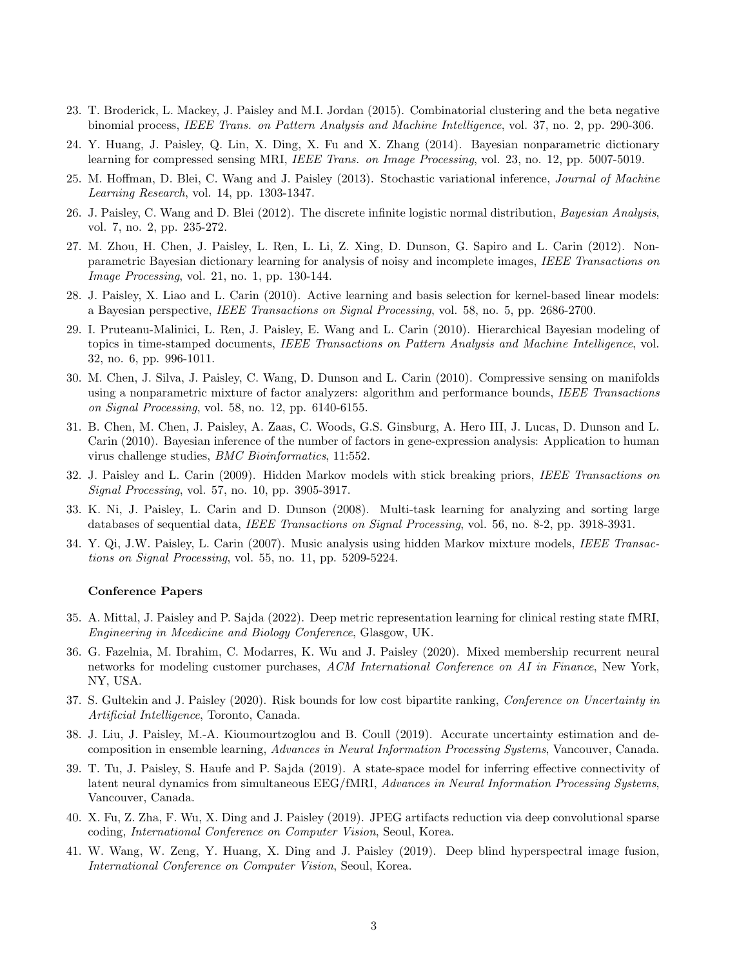- 23. T. Broderick, L. Mackey, J. Paisley and M.I. Jordan (2015). Combinatorial clustering and the beta negative binomial process, IEEE Trans. on Pattern Analysis and Machine Intelligence, vol. 37, no. 2, pp. 290-306.
- 24. Y. Huang, J. Paisley, Q. Lin, X. Ding, X. Fu and X. Zhang (2014). Bayesian nonparametric dictionary learning for compressed sensing MRI, IEEE Trans. on Image Processing, vol. 23, no. 12, pp. 5007-5019.
- 25. M. Hoffman, D. Blei, C. Wang and J. Paisley (2013). Stochastic variational inference, Journal of Machine Learning Research, vol. 14, pp. 1303-1347.
- 26. J. Paisley, C. Wang and D. Blei (2012). The discrete infinite logistic normal distribution, Bayesian Analysis, vol. 7, no. 2, pp. 235-272.
- 27. M. Zhou, H. Chen, J. Paisley, L. Ren, L. Li, Z. Xing, D. Dunson, G. Sapiro and L. Carin (2012). Nonparametric Bayesian dictionary learning for analysis of noisy and incomplete images, IEEE Transactions on Image Processing, vol. 21, no. 1, pp. 130-144.
- 28. J. Paisley, X. Liao and L. Carin (2010). Active learning and basis selection for kernel-based linear models: a Bayesian perspective, IEEE Transactions on Signal Processing, vol. 58, no. 5, pp. 2686-2700.
- 29. I. Pruteanu-Malinici, L. Ren, J. Paisley, E. Wang and L. Carin (2010). Hierarchical Bayesian modeling of topics in time-stamped documents, IEEE Transactions on Pattern Analysis and Machine Intelligence, vol. 32, no. 6, pp. 996-1011.
- 30. M. Chen, J. Silva, J. Paisley, C. Wang, D. Dunson and L. Carin (2010). Compressive sensing on manifolds using a nonparametric mixture of factor analyzers: algorithm and performance bounds, IEEE Transactions on Signal Processing, vol. 58, no. 12, pp. 6140-6155.
- 31. B. Chen, M. Chen, J. Paisley, A. Zaas, C. Woods, G.S. Ginsburg, A. Hero III, J. Lucas, D. Dunson and L. Carin (2010). Bayesian inference of the number of factors in gene-expression analysis: Application to human virus challenge studies, BMC Bioinformatics, 11:552.
- 32. J. Paisley and L. Carin (2009). Hidden Markov models with stick breaking priors, IEEE Transactions on Signal Processing, vol. 57, no. 10, pp. 3905-3917.
- 33. K. Ni, J. Paisley, L. Carin and D. Dunson (2008). Multi-task learning for analyzing and sorting large databases of sequential data, IEEE Transactions on Signal Processing, vol. 56, no. 8-2, pp. 3918-3931.
- 34. Y. Qi, J.W. Paisley, L. Carin (2007). Music analysis using hidden Markov mixture models, IEEE Transactions on Signal Processing, vol. 55, no. 11, pp. 5209-5224.

#### Conference Papers

- 35. A. Mittal, J. Paisley and P. Sajda (2022). Deep metric representation learning for clinical resting state fMRI, Engineering in Mcedicine and Biology Conference, Glasgow, UK.
- 36. G. Fazelnia, M. Ibrahim, C. Modarres, K. Wu and J. Paisley (2020). Mixed membership recurrent neural networks for modeling customer purchases, ACM International Conference on AI in Finance, New York, NY, USA.
- 37. S. Gultekin and J. Paisley (2020). Risk bounds for low cost bipartite ranking, Conference on Uncertainty in Artificial Intelligence, Toronto, Canada.
- 38. J. Liu, J. Paisley, M.-A. Kioumourtzoglou and B. Coull (2019). Accurate uncertainty estimation and decomposition in ensemble learning, Advances in Neural Information Processing Systems, Vancouver, Canada.
- 39. T. Tu, J. Paisley, S. Haufe and P. Sajda (2019). A state-space model for inferring effective connectivity of latent neural dynamics from simultaneous EEG/fMRI, Advances in Neural Information Processing Systems, Vancouver, Canada.
- 40. X. Fu, Z. Zha, F. Wu, X. Ding and J. Paisley (2019). JPEG artifacts reduction via deep convolutional sparse coding, International Conference on Computer Vision, Seoul, Korea.
- 41. W. Wang, W. Zeng, Y. Huang, X. Ding and J. Paisley (2019). Deep blind hyperspectral image fusion, International Conference on Computer Vision, Seoul, Korea.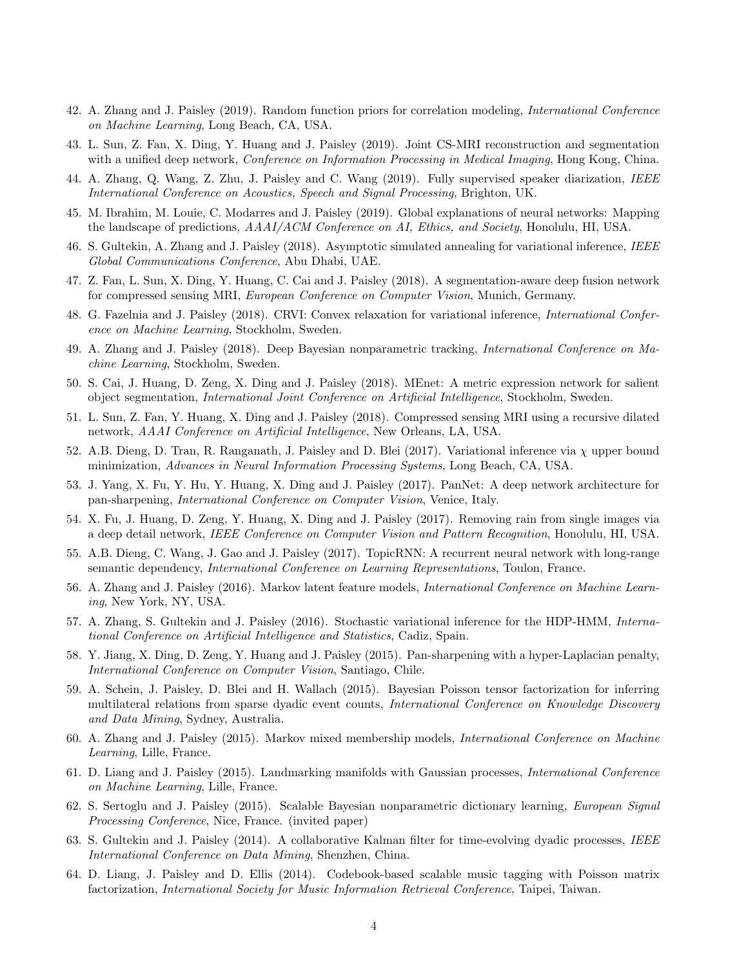- 42. A. Zhang and J. Paisley (2019). Random function priors for correlation modeling, International Conference on Machine Learning, Long Beach, CA, USA.
- 43. L. Sun, Z. Fan, X. Ding, Y. Huang and J. Paisley (2019). Joint CS-MRI reconstruction and segmentation with a unified deep network, Conference on Information Processing in Medical Imaging, Hong Kong, China.
- 44. A. Zhang, Q. Wang, Z. Zhu, J. Paisley and C. Wang (2019). Fully supervised speaker diarization, IEEE International Conference on Acoustics, Speech and Signal Processing, Brighton, UK.
- 45. M. Ibrahim, M. Louie, C. Modarres and J. Paisley (2019). Global explanations of neural networks: Mapping the landscape of predictions,  $AAAI/ACM$  Conference on AI, Ethics, and Society, Honolulu, HI, USA.
- 46. S. Gultekin, A. Zhang and J. Paisley (2018). Asymptotic simulated annealing for variational inference, IEEE Global Communications Conference, Abu Dhabi, UAE.
- 47. Z. Fan, L. Sun, X. Ding, Y. Huang, C. Cai and J. Paisley (2018). A segmentation-aware deep fusion network for compressed sensing MRI, European Conference on Computer Vision, Munich, Germany.
- 48. G. Fazelnia and J. Paisley (2018). CRVI: Convex relaxation for variational inference, International Conference on Machine Learning, Stockholm, Sweden.
- 49. A. Zhang and J. Paisley (2018). Deep Bayesian nonparametric tracking, International Conference on Machine Learning, Stockholm, Sweden.
- 50. S. Cai, J. Huang, D. Zeng, X. Ding and J. Paisley (2018). MEnet: A metric expression network for salient object segmentation, International Joint Conference on Artificial Intelligence, Stockholm, Sweden.
- 51. L. Sun, Z. Fan, Y. Huang, X. Ding and J. Paisley (2018). Compressed sensing MRI using a recursive dilated network, AAAI Conference on Artificial Intelligence, New Orleans, LA, USA.
- 52. A.B. Dieng, D. Tran, R. Ranganath, J. Paisley and D. Blei (2017). Variational inference via χ upper bound minimization, Advances in Neural Information Processing Systems, Long Beach, CA, USA.
- 53. J. Yang, X. Fu, Y. Hu, Y. Huang, X. Ding and J. Paisley (2017). PanNet: A deep network architecture for pan-sharpening, International Conference on Computer Vision, Venice, Italy.
- 54. X. Fu, J. Huang, D. Zeng, Y. Huang, X. Ding and J. Paisley (2017). Removing rain from single images via a deep detail network, IEEE Conference on Computer Vision and Pattern Recognition, Honolulu, HI, USA.
- 55. A.B. Dieng, C. Wang, J. Gao and J. Paisley (2017). TopicRNN: A recurrent neural network with long-range semantic dependency, International Conference on Learning Representations, Toulon, France.
- 56. A. Zhang and J. Paisley (2016). Markov latent feature models, International Conference on Machine Learning, New York, NY, USA.
- 57. A. Zhang, S. Gultekin and J. Paisley (2016). Stochastic variational inference for the HDP-HMM, International Conference on Artificial Intelligence and Statistics, Cadiz, Spain.
- 58. Y. Jiang, X. Ding, D. Zeng, Y. Huang and J. Paisley (2015). Pan-sharpening with a hyper-Laplacian penalty, International Conference on Computer Vision, Santiago, Chile.
- 59. A. Schein, J. Paisley, D. Blei and H. Wallach (2015). Bayesian Poisson tensor factorization for inferring multilateral relations from sparse dyadic event counts, *International Conference on Knowledge Discovery* and Data Mining, Sydney, Australia.
- 60. A. Zhang and J. Paisley (2015). Markov mixed membership models, International Conference on Machine Learning, Lille, France.
- 61. D. Liang and J. Paisley (2015). Landmarking manifolds with Gaussian processes, International Conference on Machine Learning, Lille, France.
- 62. S. Sertoglu and J. Paisley (2015). Scalable Bayesian nonparametric dictionary learning, European Signal Processing Conference, Nice, France. (invited paper)
- 63. S. Gultekin and J. Paisley (2014). A collaborative Kalman filter for time-evolving dyadic processes, IEEE International Conference on Data Mining, Shenzhen, China.
- 64. D. Liang, J. Paisley and D. Ellis (2014). Codebook-based scalable music tagging with Poisson matrix factorization, International Society for Music Information Retrieval Conference, Taipei, Taiwan.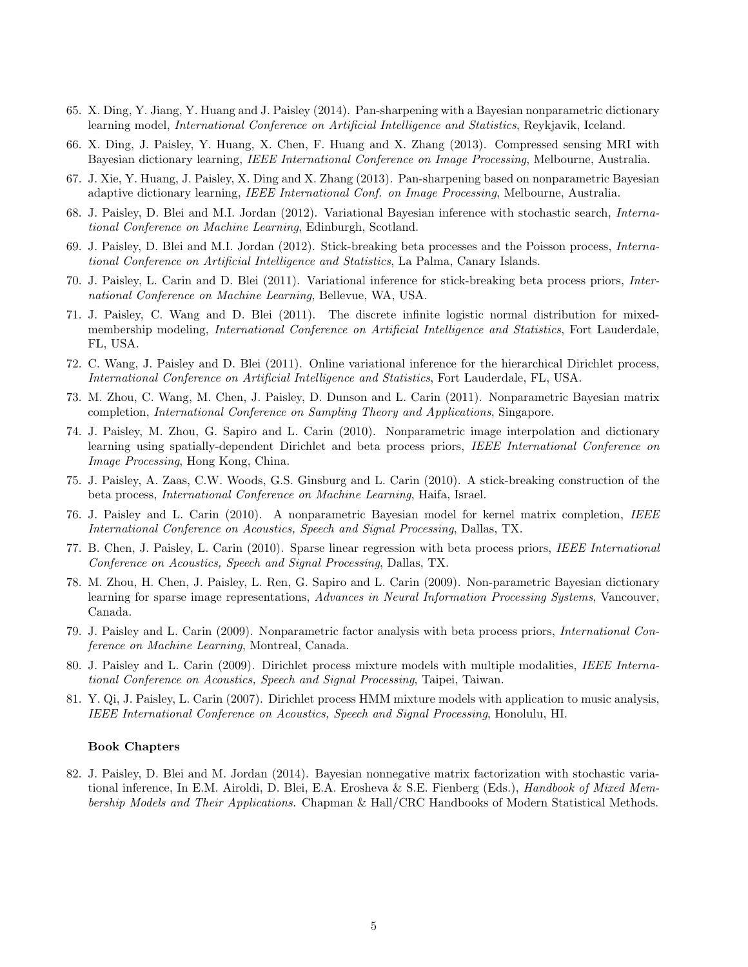- 65. X. Ding, Y. Jiang, Y. Huang and J. Paisley (2014). Pan-sharpening with a Bayesian nonparametric dictionary learning model, International Conference on Artificial Intelligence and Statistics, Reykjavik, Iceland.
- 66. X. Ding, J. Paisley, Y. Huang, X. Chen, F. Huang and X. Zhang (2013). Compressed sensing MRI with Bayesian dictionary learning, IEEE International Conference on Image Processing, Melbourne, Australia.
- 67. J. Xie, Y. Huang, J. Paisley, X. Ding and X. Zhang (2013). Pan-sharpening based on nonparametric Bayesian adaptive dictionary learning, IEEE International Conf. on Image Processing, Melbourne, Australia.
- 68. J. Paisley, D. Blei and M.I. Jordan (2012). Variational Bayesian inference with stochastic search, International Conference on Machine Learning, Edinburgh, Scotland.
- 69. J. Paisley, D. Blei and M.I. Jordan (2012). Stick-breaking beta processes and the Poisson process, International Conference on Artificial Intelligence and Statistics, La Palma, Canary Islands.
- 70. J. Paisley, L. Carin and D. Blei (2011). Variational inference for stick-breaking beta process priors, International Conference on Machine Learning, Bellevue, WA, USA.
- 71. J. Paisley, C. Wang and D. Blei (2011). The discrete infinite logistic normal distribution for mixedmembership modeling, *International Conference on Artificial Intelligence and Statistics*, Fort Lauderdale, FL, USA.
- 72. C. Wang, J. Paisley and D. Blei (2011). Online variational inference for the hierarchical Dirichlet process, International Conference on Artificial Intelligence and Statistics, Fort Lauderdale, FL, USA.
- 73. M. Zhou, C. Wang, M. Chen, J. Paisley, D. Dunson and L. Carin (2011). Nonparametric Bayesian matrix completion, International Conference on Sampling Theory and Applications, Singapore.
- 74. J. Paisley, M. Zhou, G. Sapiro and L. Carin (2010). Nonparametric image interpolation and dictionary learning using spatially-dependent Dirichlet and beta process priors, IEEE International Conference on Image Processing, Hong Kong, China.
- 75. J. Paisley, A. Zaas, C.W. Woods, G.S. Ginsburg and L. Carin (2010). A stick-breaking construction of the beta process, International Conference on Machine Learning, Haifa, Israel.
- 76. J. Paisley and L. Carin (2010). A nonparametric Bayesian model for kernel matrix completion, IEEE International Conference on Acoustics, Speech and Signal Processing, Dallas, TX.
- 77. B. Chen, J. Paisley, L. Carin (2010). Sparse linear regression with beta process priors, IEEE International Conference on Acoustics, Speech and Signal Processing, Dallas, TX.
- 78. M. Zhou, H. Chen, J. Paisley, L. Ren, G. Sapiro and L. Carin (2009). Non-parametric Bayesian dictionary learning for sparse image representations, Advances in Neural Information Processing Systems, Vancouver, Canada.
- 79. J. Paisley and L. Carin (2009). Nonparametric factor analysis with beta process priors, International Conference on Machine Learning, Montreal, Canada.
- 80. J. Paisley and L. Carin (2009). Dirichlet process mixture models with multiple modalities, IEEE International Conference on Acoustics, Speech and Signal Processing, Taipei, Taiwan.
- 81. Y. Qi, J. Paisley, L. Carin (2007). Dirichlet process HMM mixture models with application to music analysis, IEEE International Conference on Acoustics, Speech and Signal Processing, Honolulu, HI.

#### Book Chapters

82. J. Paisley, D. Blei and M. Jordan (2014). Bayesian nonnegative matrix factorization with stochastic variational inference, In E.M. Airoldi, D. Blei, E.A. Erosheva & S.E. Fienberg (Eds.), Handbook of Mixed Membership Models and Their Applications. Chapman & Hall/CRC Handbooks of Modern Statistical Methods.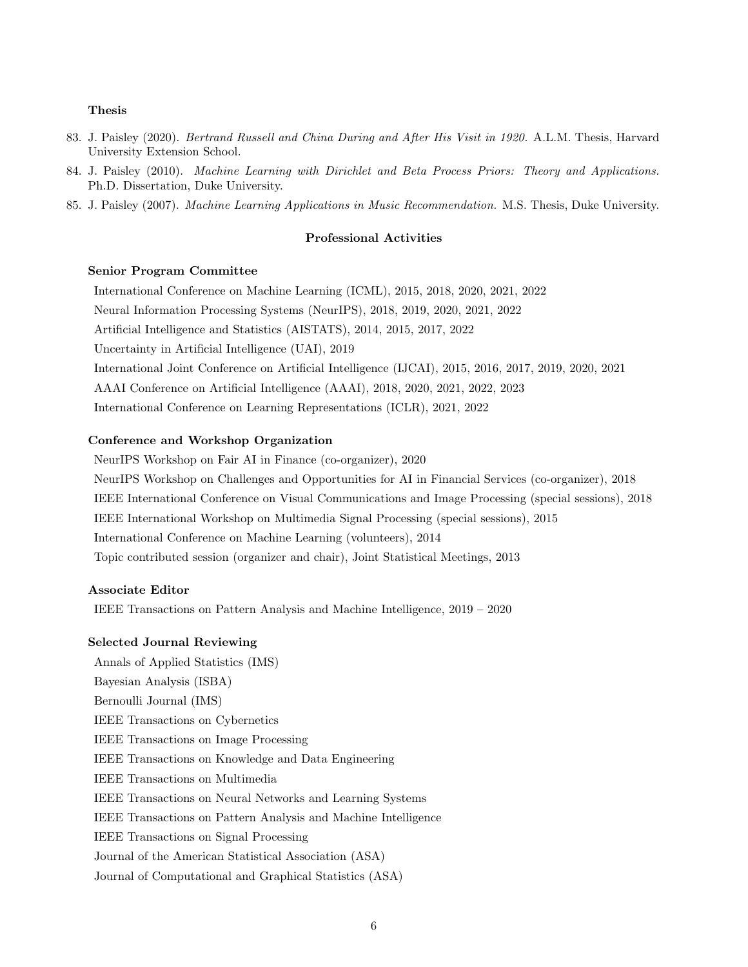#### Thesis

- 83. J. Paisley (2020). Bertrand Russell and China During and After His Visit in 1920. A.L.M. Thesis, Harvard University Extension School.
- 84. J. Paisley (2010). Machine Learning with Dirichlet and Beta Process Priors: Theory and Applications. Ph.D. Dissertation, Duke University.
- 85. J. Paisley (2007). Machine Learning Applications in Music Recommendation. M.S. Thesis, Duke University.

### Professional Activities

#### Senior Program Committee

International Conference on Machine Learning (ICML), 2015, 2018, 2020, 2021, 2022

Neural Information Processing Systems (NeurIPS), 2018, 2019, 2020, 2021, 2022

Artificial Intelligence and Statistics (AISTATS), 2014, 2015, 2017, 2022

Uncertainty in Artificial Intelligence (UAI), 2019

International Joint Conference on Artificial Intelligence (IJCAI), 2015, 2016, 2017, 2019, 2020, 2021

AAAI Conference on Artificial Intelligence (AAAI), 2018, 2020, 2021, 2022, 2023

International Conference on Learning Representations (ICLR), 2021, 2022

#### Conference and Workshop Organization

NeurIPS Workshop on Fair AI in Finance (co-organizer), 2020 NeurIPS Workshop on Challenges and Opportunities for AI in Financial Services (co-organizer), 2018

IEEE International Conference on Visual Communications and Image Processing (special sessions), 2018 IEEE International Workshop on Multimedia Signal Processing (special sessions), 2015 International Conference on Machine Learning (volunteers), 2014 Topic contributed session (organizer and chair), Joint Statistical Meetings, 2013

#### Associate Editor

IEEE Transactions on Pattern Analysis and Machine Intelligence, 2019 – 2020

## Selected Journal Reviewing

Annals of Applied Statistics (IMS) Bayesian Analysis (ISBA) Bernoulli Journal (IMS) IEEE Transactions on Cybernetics IEEE Transactions on Image Processing IEEE Transactions on Knowledge and Data Engineering IEEE Transactions on Multimedia IEEE Transactions on Neural Networks and Learning Systems IEEE Transactions on Pattern Analysis and Machine Intelligence IEEE Transactions on Signal Processing Journal of the American Statistical Association (ASA) Journal of Computational and Graphical Statistics (ASA)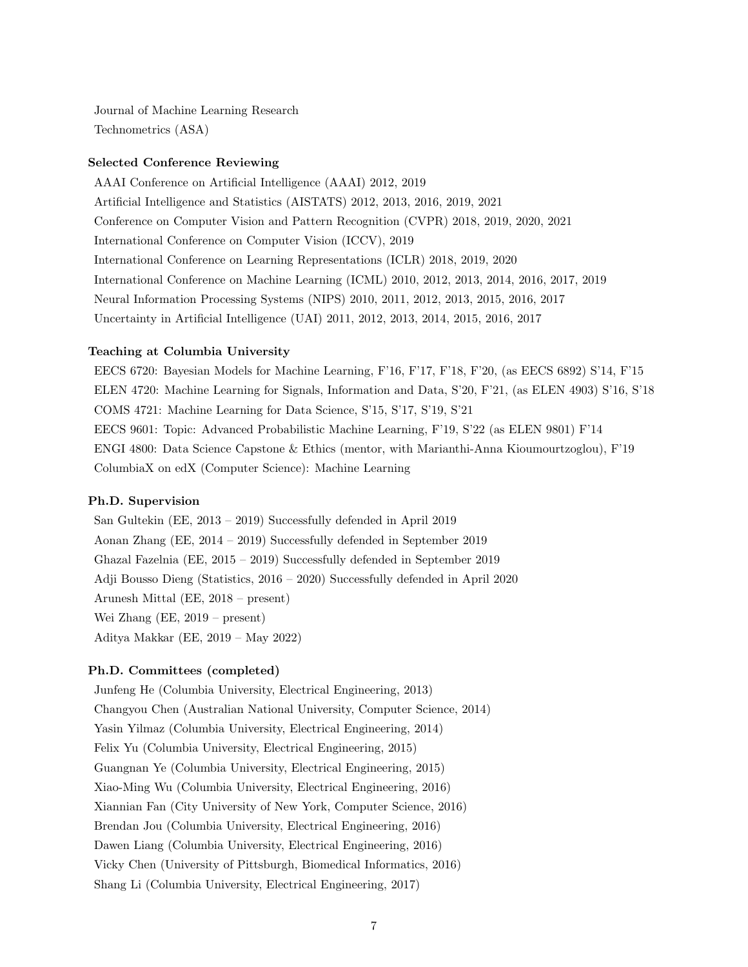Journal of Machine Learning Research Technometrics (ASA)

## Selected Conference Reviewing

AAAI Conference on Artificial Intelligence (AAAI) 2012, 2019 Artificial Intelligence and Statistics (AISTATS) 2012, 2013, 2016, 2019, 2021 Conference on Computer Vision and Pattern Recognition (CVPR) 2018, 2019, 2020, 2021 International Conference on Computer Vision (ICCV), 2019 International Conference on Learning Representations (ICLR) 2018, 2019, 2020 International Conference on Machine Learning (ICML) 2010, 2012, 2013, 2014, 2016, 2017, 2019 Neural Information Processing Systems (NIPS) 2010, 2011, 2012, 2013, 2015, 2016, 2017 Uncertainty in Artificial Intelligence (UAI) 2011, 2012, 2013, 2014, 2015, 2016, 2017

## Teaching at Columbia University

EECS 6720: Bayesian Models for Machine Learning, F'16, F'17, F'18, F'20, (as EECS 6892) S'14, F'15 ELEN 4720: Machine Learning for Signals, Information and Data, S'20, F'21, (as ELEN 4903) S'16, S'18 COMS 4721: Machine Learning for Data Science, S'15, S'17, S'19, S'21 EECS 9601: Topic: Advanced Probabilistic Machine Learning, F'19, S'22 (as ELEN 9801) F'14 ENGI 4800: Data Science Capstone & Ethics (mentor, with Marianthi-Anna Kioumourtzoglou), F'19 ColumbiaX on edX (Computer Science): Machine Learning

## Ph.D. Supervision

San Gultekin (EE, 2013 – 2019) Successfully defended in April 2019 Aonan Zhang (EE, 2014 – 2019) Successfully defended in September 2019 Ghazal Fazelnia (EE, 2015 – 2019) Successfully defended in September 2019 Adji Bousso Dieng (Statistics, 2016 – 2020) Successfully defended in April 2020 Arunesh Mittal (EE, 2018 – present) Wei Zhang (EE, 2019 – present) Aditya Makkar (EE, 2019 – May 2022)

## Ph.D. Committees (completed)

Junfeng He (Columbia University, Electrical Engineering, 2013) Changyou Chen (Australian National University, Computer Science, 2014) Yasin Yilmaz (Columbia University, Electrical Engineering, 2014) Felix Yu (Columbia University, Electrical Engineering, 2015) Guangnan Ye (Columbia University, Electrical Engineering, 2015) Xiao-Ming Wu (Columbia University, Electrical Engineering, 2016) Xiannian Fan (City University of New York, Computer Science, 2016) Brendan Jou (Columbia University, Electrical Engineering, 2016) Dawen Liang (Columbia University, Electrical Engineering, 2016) Vicky Chen (University of Pittsburgh, Biomedical Informatics, 2016) Shang Li (Columbia University, Electrical Engineering, 2017)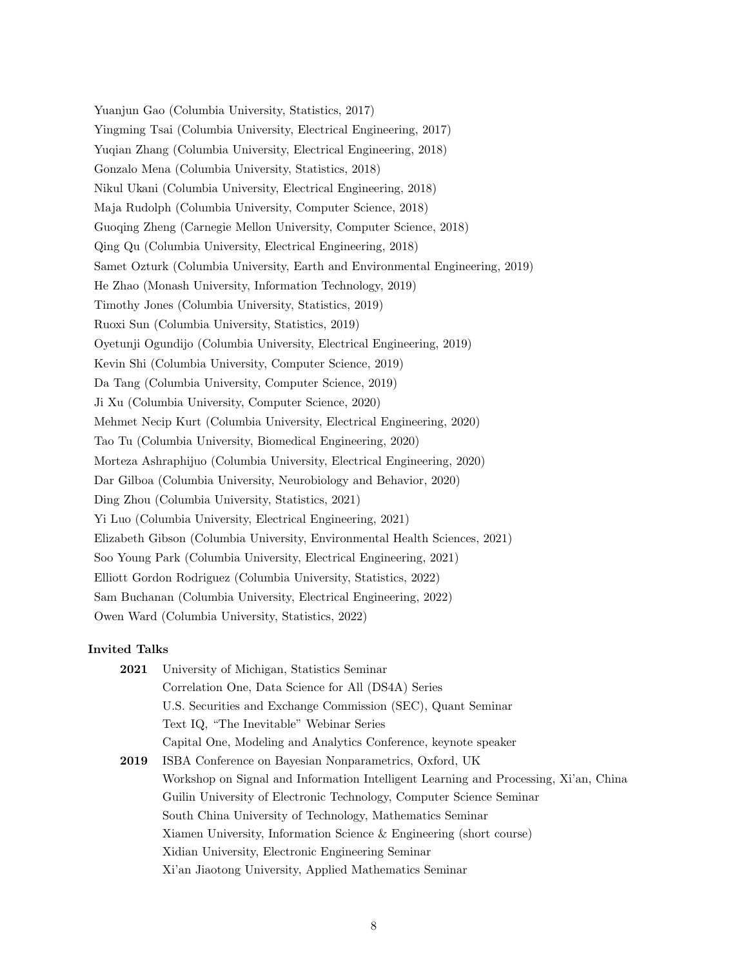Yuanjun Gao (Columbia University, Statistics, 2017) Yingming Tsai (Columbia University, Electrical Engineering, 2017) Yuqian Zhang (Columbia University, Electrical Engineering, 2018) Gonzalo Mena (Columbia University, Statistics, 2018) Nikul Ukani (Columbia University, Electrical Engineering, 2018) Maja Rudolph (Columbia University, Computer Science, 2018) Guoqing Zheng (Carnegie Mellon University, Computer Science, 2018) Qing Qu (Columbia University, Electrical Engineering, 2018) Samet Ozturk (Columbia University, Earth and Environmental Engineering, 2019) He Zhao (Monash University, Information Technology, 2019) Timothy Jones (Columbia University, Statistics, 2019) Ruoxi Sun (Columbia University, Statistics, 2019) Oyetunji Ogundijo (Columbia University, Electrical Engineering, 2019) Kevin Shi (Columbia University, Computer Science, 2019) Da Tang (Columbia University, Computer Science, 2019) Ji Xu (Columbia University, Computer Science, 2020) Mehmet Necip Kurt (Columbia University, Electrical Engineering, 2020) Tao Tu (Columbia University, Biomedical Engineering, 2020) Morteza Ashraphijuo (Columbia University, Electrical Engineering, 2020) Dar Gilboa (Columbia University, Neurobiology and Behavior, 2020) Ding Zhou (Columbia University, Statistics, 2021) Yi Luo (Columbia University, Electrical Engineering, 2021) Elizabeth Gibson (Columbia University, Environmental Health Sciences, 2021) Soo Young Park (Columbia University, Electrical Engineering, 2021) Elliott Gordon Rodriguez (Columbia University, Statistics, 2022) Sam Buchanan (Columbia University, Electrical Engineering, 2022) Owen Ward (Columbia University, Statistics, 2022)

## Invited Talks

| 2021 | University of Michigan, Statistics Seminar                                           |
|------|--------------------------------------------------------------------------------------|
|      | Correlation One, Data Science for All (DS4A) Series                                  |
|      | U.S. Securities and Exchange Commission (SEC), Quant Seminar                         |
|      | Text IQ, "The Inevitable" Webinar Series                                             |
|      | Capital One, Modeling and Analytics Conference, keynote speaker                      |
| 2019 | ISBA Conference on Bayesian Nonparametrics, Oxford, UK                               |
|      | Workshop on Signal and Information Intelligent Learning and Processing, Xi'an, China |
|      | Guilin University of Electronic Technology, Computer Science Seminar                 |
|      | South China University of Technology, Mathematics Seminar                            |
|      | Xiamen University, Information Science & Engineering (short course)                  |
|      | Xidian University, Electronic Engineering Seminar                                    |
|      | Xi'an Jiaotong University, Applied Mathematics Seminar                               |
|      |                                                                                      |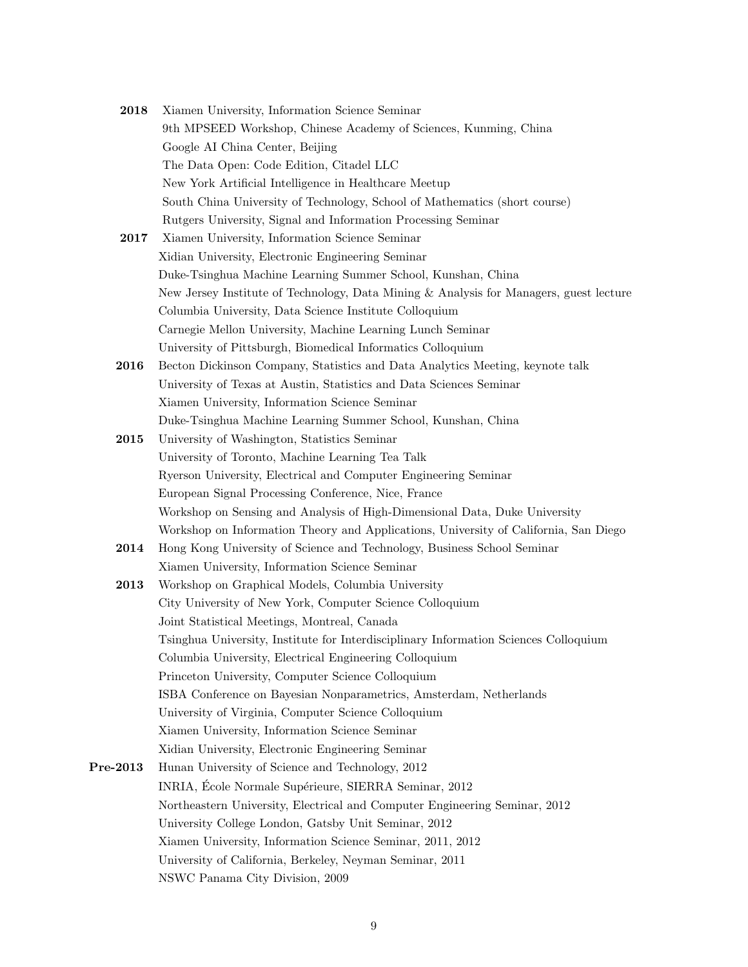| 2018       | Xiamen University, Information Science Seminar                                         |
|------------|----------------------------------------------------------------------------------------|
|            | 9th MPSEED Workshop, Chinese Academy of Sciences, Kunming, China                       |
|            | Google AI China Center, Beijing                                                        |
|            | The Data Open: Code Edition, Citadel LLC                                               |
|            | New York Artificial Intelligence in Healthcare Meetup                                  |
|            | South China University of Technology, School of Mathematics (short course)             |
|            | Rutgers University, Signal and Information Processing Seminar                          |
| 2017       | Xiamen University, Information Science Seminar                                         |
|            | Xidian University, Electronic Engineering Seminar                                      |
|            | Duke-Tsinghua Machine Learning Summer School, Kunshan, China                           |
|            | New Jersey Institute of Technology, Data Mining & Analysis for Managers, guest lecture |
|            | Columbia University, Data Science Institute Colloquium                                 |
|            | Carnegie Mellon University, Machine Learning Lunch Seminar                             |
|            | University of Pittsburgh, Biomedical Informatics Colloquium                            |
| 2016       | Becton Dickinson Company, Statistics and Data Analytics Meeting, keynote talk          |
|            | University of Texas at Austin, Statistics and Data Sciences Seminar                    |
|            | Xiamen University, Information Science Seminar                                         |
|            | Duke-Tsinghua Machine Learning Summer School, Kunshan, China                           |
| 2015       | University of Washington, Statistics Seminar                                           |
|            | University of Toronto, Machine Learning Tea Talk                                       |
|            | Ryerson University, Electrical and Computer Engineering Seminar                        |
|            | European Signal Processing Conference, Nice, France                                    |
|            | Workshop on Sensing and Analysis of High-Dimensional Data, Duke University             |
|            | Workshop on Information Theory and Applications, University of California, San Diego   |
| 2014       | Hong Kong University of Science and Technology, Business School Seminar                |
|            | Xiamen University, Information Science Seminar                                         |
| 2013       | Workshop on Graphical Models, Columbia University                                      |
|            | City University of New York, Computer Science Colloquium                               |
|            | Joint Statistical Meetings, Montreal, Canada                                           |
|            | Tsinghua University, Institute for Interdisciplinary Information Sciences Colloquium   |
|            | Columbia University, Electrical Engineering Colloquium                                 |
|            | Princeton University, Computer Science Colloquium                                      |
|            | ISBA Conference on Bayesian Nonparametrics, Amsterdam, Netherlands                     |
|            | University of Virginia, Computer Science Colloquium                                    |
|            | Xiamen University, Information Science Seminar                                         |
|            | Xidian University, Electronic Engineering Seminar                                      |
| $Pre-2013$ | Hunan University of Science and Technology, 2012                                       |
|            | INRIA, École Normale Supérieure, SIERRA Seminar, 2012                                  |
|            | Northeastern University, Electrical and Computer Engineering Seminar, 2012             |
|            | University College London, Gatsby Unit Seminar, 2012                                   |
|            | Xiamen University, Information Science Seminar, 2011, 2012                             |
|            | University of California, Berkeley, Neyman Seminar, 2011                               |
|            | NSWC Panama City Division, 2009                                                        |